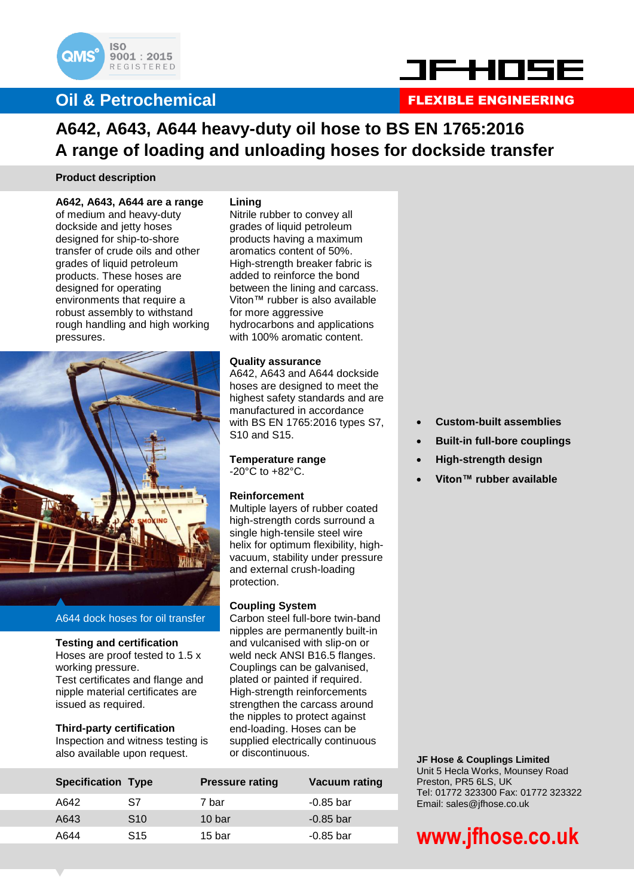

### **Oil & Petrochemical**



### FLEXIBLE ENGINEERING

### **A642, A643, A644 heavy-duty oil hose to BS EN 1765:2016 A range of loading and unloading hoses for dockside transfer**

#### **Product description**

#### **A642, A643, A644 are a range**

of medium and heavy-duty dockside and jetty hoses designed for ship-to-shore transfer of crude oils and other grades of liquid petroleum products. These hoses are designed for operating environments that require a robust assembly to withstand rough handling and high working pressures.



#### A644 dock hoses for oil transfer

#### **Testing and certification**

Hoses are proof tested to 1.5 x working pressure. Test certificates and flange and nipple material certificates are issued as required.

#### **Third-party certification**

Inspection and witness testing is also available upon request.

#### **Lining**

Nitrile rubber to convey all grades of liquid petroleum products having a maximum aromatics content of 50%. High-strength breaker fabric is added to reinforce the bond between the lining and carcass. Viton™ rubber is also available for more aggressive hydrocarbons and applications with 100% aromatic content.

#### **Quality assurance**

A642, A643 and A644 dockside hoses are designed to meet the highest safety standards and are manufactured in accordance with BS EN 1765:2016 types S7, S10 and S15.

**Temperature range** -20°C to +82°C.

#### **Reinforcement**

Multiple layers of rubber coated high-strength cords surround a single high-tensile steel wire helix for optimum flexibility, highvacuum, stability under pressure and external crush-loading protection.

#### **Coupling System**

Carbon steel full-bore twin-band nipples are permanently built-in and vulcanised with slip-on or weld neck ANSI B16.5 flanges. Couplings can be galvanised, plated or painted if required. High-strength reinforcements strengthen the carcass around the nipples to protect against end-loading. Hoses can be supplied electrically continuous or discontinuous.

| <b>Specification Type</b> |                 | <b>Pressure rating</b> | Vacuum rating |
|---------------------------|-----------------|------------------------|---------------|
| A642                      | S7              | 7 bar                  | -0.85 bar     |
| A643                      | S <sub>10</sub> | 10 bar                 | $-0.85$ bar   |
| A644                      | S <sub>15</sub> | 15 bar                 | -0.85 bar     |
|                           |                 |                        |               |

- **Custom-built assemblies**
- **Built-in full-bore couplings**
- **High-strength design**
- **Viton™ rubber available**

**JF Hose & Couplings Limited** Unit 5 Hecla Works, Mounsey Road Preston, PR5 6LS, UK Tel: 01772 323300 Fax: 01772 323322 Email: sales@jfhose.co.uk

# **www.jfhose.co.uk**